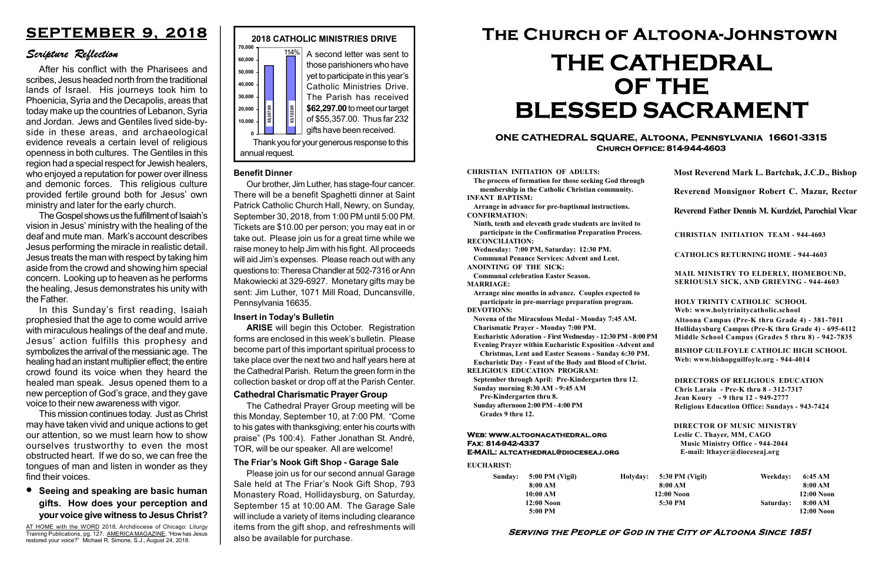#### Serving the People of God in the City of Altoona Since 1851

Sunday: 5:00 PM (Vigil) 8:00 AM 10:00 AM 12:00 Noon 5:00 PM

Holyday:

#### Web: www.altoonacathedral.org Fax: 814-942-4337 E-MAIL: altcathedral@dioceseaj.org

EUCHARIST:

#### CHRISTIAN INITIATION OF ADULTS:

The process of formation for those seeking God through membership in the Catholic Christian community. INFANT BAPTISM:

Arrange in advance for pre-baptismal instructions. CONFIRMATION:

Ninth, tenth and eleventh grade students are invited to participate in the Confirmation Preparation Process. RECONCILIATION:

Wednesday: 7:00 PM, Saturday: 12:30 PM. Communal Penance Services: Advent and Lent.

ANOINTING OF THE SICK:

Communal celebration Easter Season. MARRIAGE:

Arrange nine months in advance. Couples expected to participate in pre-marriage preparation program. DEVOTIONS:

Novena of the Miraculous Medal - Monday 7:45 AM.

Charismatic Prayer - Monday 7:00 PM. Eucharistic Adoration - First Wednesday - 12:30 PM - 8:00 PM

Evening Prayer within Eucharistic Exposition -Advent and

Christmas, Lent and Easter Seasons - Sunday 6:30 PM.

|                         | Most Reverend Mark L. Bartchak, J.C.D., Bishop<br>Reverend Monsignor Robert C. Mazur, Rector                                                                                    |           |                         |
|-------------------------|---------------------------------------------------------------------------------------------------------------------------------------------------------------------------------|-----------|-------------------------|
|                         |                                                                                                                                                                                 |           |                         |
|                         | Reverend Father Dennis M. Kurdziel, Parochial Vicar                                                                                                                             |           |                         |
|                         | <b>CHRISTIAN INITIATION TEAM - 944-4603</b>                                                                                                                                     |           |                         |
|                         | <b>CATHOLICS RETURNING HOME - 944-4603</b>                                                                                                                                      |           |                         |
|                         | MAIL MINISTRY TO ELDERLY, HOMEBOUND,<br><b>SERIOUSLY SICK, AND GRIEVING - 944-4603</b>                                                                                          |           |                         |
|                         | <b>HOLY TRINITY CATHOLIC SCHOOL</b><br>Web: www.holytrinitycatholic.school                                                                                                      |           |                         |
| М                       | Altoona Campus (Pre-K thru Grade 4) - 381-7011<br>Hollidaysburg Campus (Pre-K thru Grade 4) - 695-6112<br>Middle School Campus (Grades 5 thru 8) - 942-7835                     |           |                         |
| ł                       | <b>BISHOP GUILFOYLE CATHOLIC HIGH SCHOOL</b><br>Web: www.bishopguilfoyle.org - 944-4014                                                                                         |           |                         |
|                         | <b>DIRECTORS OF RELIGIOUS EDUCATION</b><br>Chris Laraia - Pre-K thru 8 - 312-7317<br>Jean Koury - 9 thru 12 - 949-2777<br><b>Religious Education Office: Sundays - 943-7424</b> |           |                         |
|                         | <b>DIRECTOR OF MUSIC MINISTRY</b><br>Leslie C. Thayer, MM, CAGO<br><b>Music Ministry Office - 944-2044</b><br>E-mail: lthayer@dioceseaj.org                                     |           |                         |
| 5:30 PM (Vigil)         |                                                                                                                                                                                 | Weekday:  | 6:45 AM                 |
| 8:00 AM<br>$12:00$ Noon |                                                                                                                                                                                 |           | 8:00 AM<br>12:00 Noon   |
|                         | 5:30 PM                                                                                                                                                                         | Saturday: | 8:00 AM<br>$12:00$ Noon |
|                         |                                                                                                                                                                                 |           |                         |

Eucharistic Day - Feast of the Body and Blood of Christ.

RELIGIOUS EDUCATION PROGRAM:

September through April: Pre-Kindergarten thru 12. Sunday morning 8:30 AM - 9:45 AM



Pre-Kindergarten thru 8.

Sunday afternoon 2:00 PM - 4:00 PM Grades 9 thru 12.

### **•** Seeing and speaking are basic human gifts. How does your perception and your voice give witness to Jesus Christ?

#### ONE CATHEDRAL SQUARE, Altoona, Pennsylvania 16601-3315 Church Office: 814-944-4603

# The Church of Altoona-Johnstown THE CATHEDRAL OF THE BLESSED SACRAMENT

#### The Friar's Nook Gift Shop - Garage Sale

Please join us for our second annual Garage Sale held at The Friar's Nook Gift Shop, 793 Monastery Road, Hollidaysburg, on Saturday, September 15 at 10:00 AM. The Garage Sale will include a variety of items including clearance items from the gift shop, and refreshments will also be available for purchase.

## SEPTEMBER 9, 2018

#### Scripture Reflection

After his conflict with the Pharisees and scribes, Jesus headed north from the traditional lands of Israel. His journeys took him to Phoenicia, Syria and the Decapolis, areas that today make up the countries of Lebanon, Syria and Jordan. Jews and Gentiles lived side-byside in these areas, and archaeological evidence reveals a certain level of religious openness in both cultures. The Gentiles in this region had a special respect for Jewish healers, who enjoyed a reputation for power over illness and demonic forces. This religious culture provided fertile ground both for Jesus' own ministry and later for the early church.

The Gospel shows us the fulfillment of Isaiah's vision in Jesus' ministry with the healing of the deaf and mute man. Mark's account describes Jesus performing the miracle in realistic detail. Jesus treats the man with respect by taking him aside from the crowd and showing him special concern. Looking up to heaven as he performs the healing, Jesus demonstrates his unity with the Father.

In this Sunday's first reading, Isaiah prophesied that the age to come would arrive with miraculous healings of the deaf and mute. Jesus' action fulfills this prophesy and symbolizes the arrival of the messianic age. The healing had an instant multiplier effect; the entire crowd found its voice when they heard the healed man speak. Jesus opened them to a new perception of God's grace, and they gave voice to their new awareness with vigor.

This mission continues today. Just as Christ may have taken vivid and unique actions to get our attention, so we must learn how to show ourselves trustworthy to even the most obstructed heart. If we do so, we can free the tongues of man and listen in wonder as they find their voices.

AT HOME with the WORD 2018, Archdiocese of Chicago: Liturgy Training Publications, pg. 127. AMERICA MAGAZINE, "How has Jesus restored your voice?" Michael R. Simone, S.J., August 24, 2018.

#### Benefit Dinner

Our brother, Jim Luther, has stage-four cancer. There will be a benefit Spaghetti dinner at Saint Patrick Catholic Church Hall, Newry, on Sunday, September 30, 2018, from 1:00 PM until 5:00 PM. Tickets are \$10.00 per person; you may eat in or take out. Please join us for a great time while we raise money to help Jim with his fight. All proceeds will aid Jim's expenses. Please reach out with any questions to: Theresa Chandler at 502-7316 or Ann Makowiecki at 329-6927. Monetary gifts may be sent: Jim Luther, 1071 Mill Road, Duncansville, Pennsylvania 16635.

#### Insert in Today's Bulletin

ARISE will begin this October. Registration forms are enclosed in this week's bulletin. Please become part of this important spiritual process to take place over the next two and half years here at the Cathedral Parish. Return the green form in the collection basket or drop off at the Parish Center.

#### Cathedral Charismatic Prayer Group

The Cathedral Prayer Group meeting will be this Monday, September 10, at 7:00 PM. "Come to his gates with thanksgiving; enter his courts with praise" (Ps 100:4). Father Jonathan St. André, TOR, will be our speaker. All are welcome!